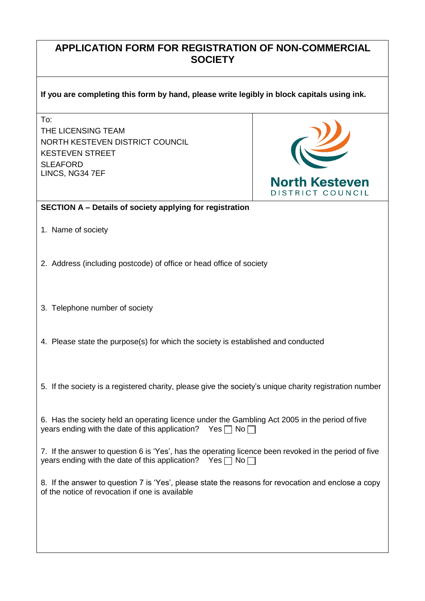## **APPLICATION FORM FOR REGISTRATION OF NON-COMMERCIAL SOCIETY**

## **If you are completing this form by hand, please write legibly in block capitals using ink.**

To:

THE LICENSING TEAM NORTH KESTEVEN DISTRICT COUNCIL KESTEVEN STREET **SLEAFORD** LINCS, NG34 7EF



## **SECTION A – Details of society applying for registration**

- 1. Name of society
- 2. Address (including postcode) of office or head office of society
- 3. Telephone number of society
- 4. Please state the purpose(s) for which the society is established and conducted
- 5. If the society is a registered charity, please give the society's unique charity registration number

6. Has the society held an operating licence under the Gambling Act 2005 in the period of five years ending with the date of this application? Yes  $\Box$  No  $\Box$ 

7. If the answer to question 6 is 'Yes', has the operating licence been revoked in the period of five years ending with the date of this application? Yes  $\Box$  No  $\Box$ 

8. If the answer to question 7 is 'Yes', please state the reasons for revocation and enclose a copy of the notice of revocation if one is available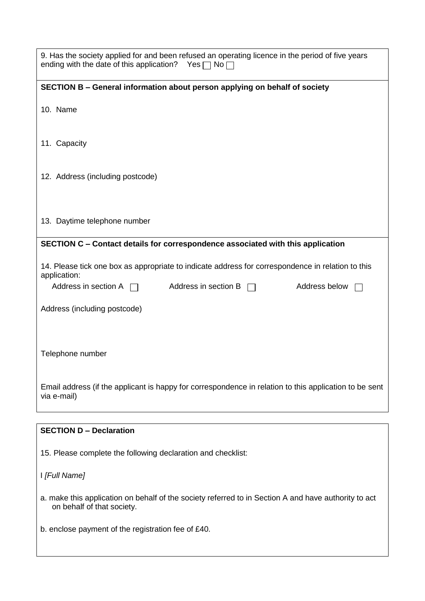| 9. Has the society applied for and been refused an operating licence in the period of five years<br>ending with the date of this application?<br>$Yes \sqcap No \sqcap$ |
|-------------------------------------------------------------------------------------------------------------------------------------------------------------------------|
| SECTION B - General information about person applying on behalf of society                                                                                              |
| 10. Name                                                                                                                                                                |
| 11. Capacity                                                                                                                                                            |
| 12. Address (including postcode)                                                                                                                                        |
| 13. Daytime telephone number                                                                                                                                            |
| SECTION C - Contact details for correspondence associated with this application                                                                                         |
| 14. Please tick one box as appropriate to indicate address for correspondence in relation to this<br>application:                                                       |
| Address in section A $\Box$<br>Address in section B $\Box$<br>Address below                                                                                             |
| Address (including postcode)                                                                                                                                            |
| Telephone number                                                                                                                                                        |
| Email address (if the applicant is happy for correspondence in relation to this application to be sent<br>via e-mail)                                                   |
|                                                                                                                                                                         |
| <b>SECTION D - Declaration</b>                                                                                                                                          |
| 15. Please complete the following declaration and checklist:                                                                                                            |
| I [Full Name]                                                                                                                                                           |
| a. make this application on behalf of the society referred to in Section A and have authority to act<br>on behalf of that society.                                      |
| b. enclose payment of the registration fee of £40.                                                                                                                      |